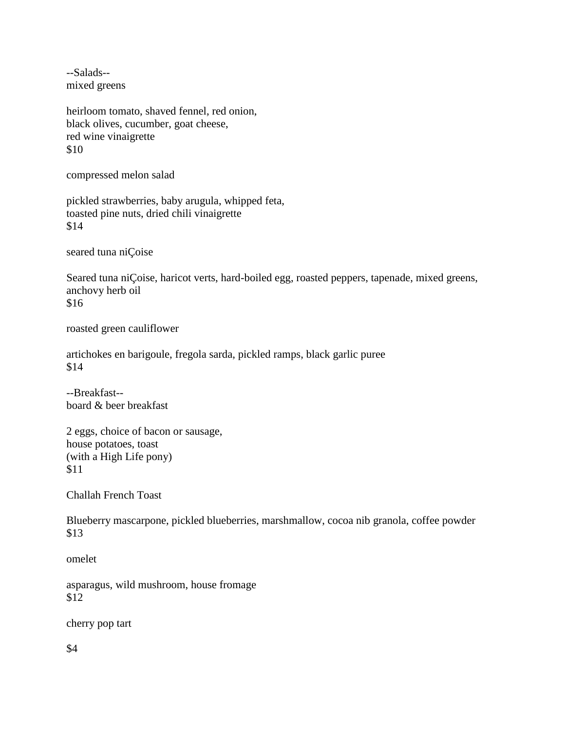--Salads- mixed greens

heirloom tomato, shaved fennel, red onion, black olives, cucumber, goat cheese, red wine vinaigrette \$10

compressed melon salad

pickled strawberries, baby arugula, whipped feta, toasted pine nuts, dried chili vinaigrette \$14

seared tuna niÇoise

Seared tuna niÇoise, haricot verts, hard-boiled egg, roasted peppers, tapenade, mixed greens, anchovy herb oil \$16

roasted green cauliflower

artichokes en barigoule, fregola sarda, pickled ramps, black garlic puree \$14

--Breakfast- board & beer breakfast

2 eggs, choice of bacon or sausage, house potatoes, toast (with a High Life pony) \$11

Challah French Toast

Blueberry mascarpone, pickled blueberries, marshmallow, cocoa nib granola, coffee powder \$13

omelet

asparagus, wild mushroom, house fromage \$12

cherry pop tart

\$4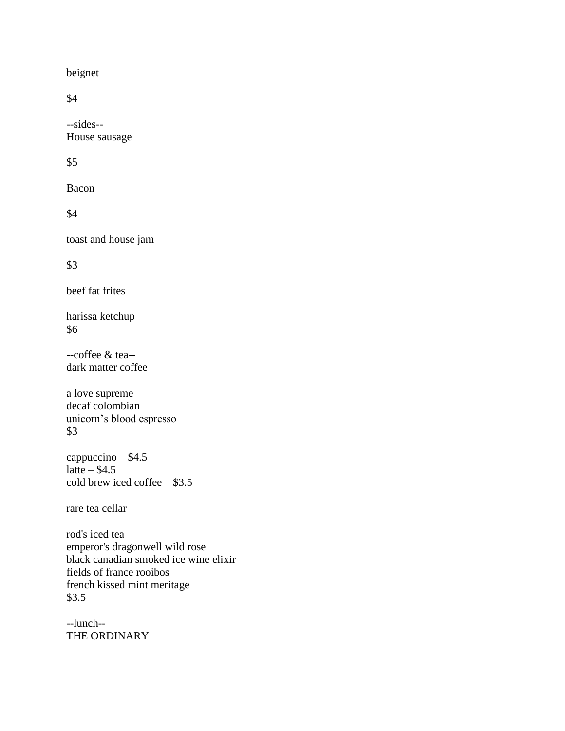beignet

\$4

--sides-- House sausage

## \$5

Bacon

\$4

toast and house jam

\$3

beef fat frites

harissa ketchup \$6

--coffee & tea- dark matter coffee

a love supreme decaf colombian unicorn's blood espresso \$3

cappuccino – \$4.5 latte –  $$4.5$ cold brew iced coffee – \$3.5

rare tea cellar

rod's iced tea emperor's dragonwell wild rose black canadian smoked ice wine elixir fields of france rooibos french kissed mint meritage \$3.5

--lunch-- THE ORDINARY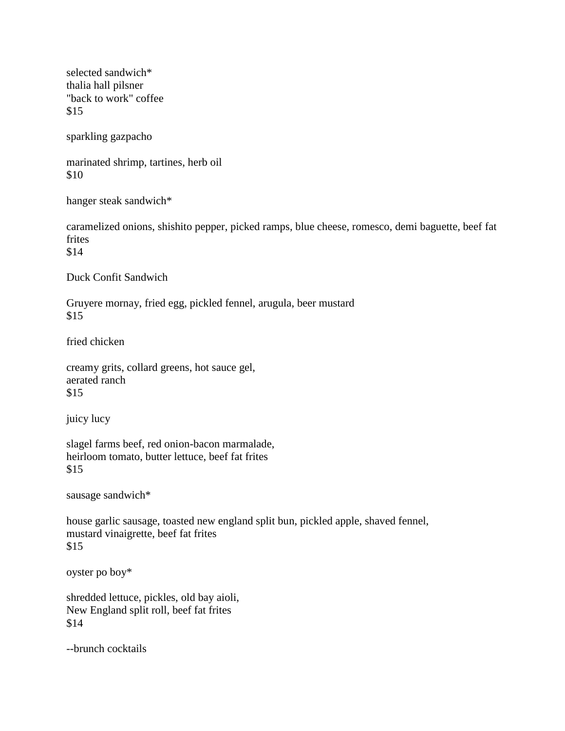selected sandwich\* thalia hall pilsner "back to work" coffee \$15

sparkling gazpacho

marinated shrimp, tartines, herb oil \$10

hanger steak sandwich\*

caramelized onions, shishito pepper, picked ramps, blue cheese, romesco, demi baguette, beef fat frites \$14

Duck Confit Sandwich

Gruyere mornay, fried egg, pickled fennel, arugula, beer mustard \$15

fried chicken

creamy grits, collard greens, hot sauce gel, aerated ranch \$15

juicy lucy

slagel farms beef, red onion-bacon marmalade, heirloom tomato, butter lettuce, beef fat frites \$15

sausage sandwich\*

house garlic sausage, toasted new england split bun, pickled apple, shaved fennel, mustard vinaigrette, beef fat frites \$15

oyster po boy\*

shredded lettuce, pickles, old bay aioli, New England split roll, beef fat frites \$14

--brunch cocktails